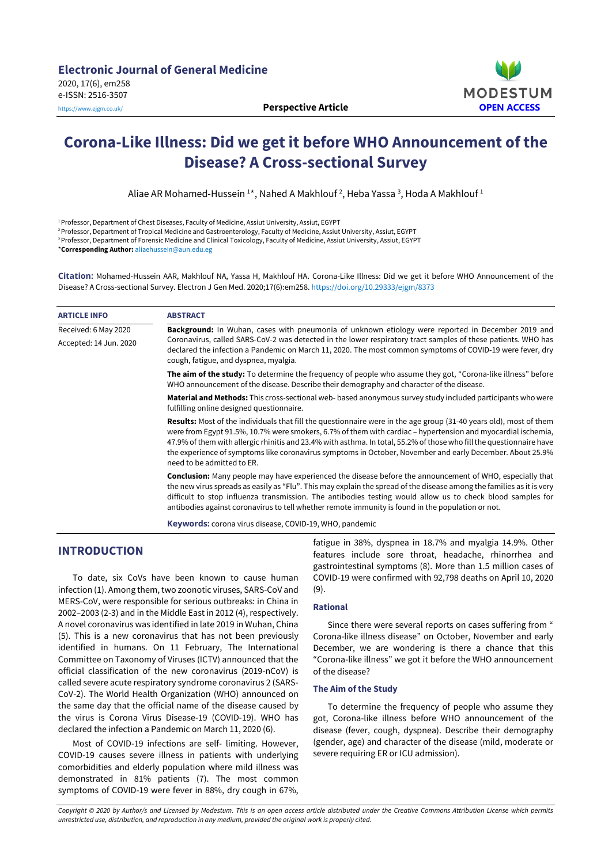

# **Corona-Like Illness: Did we get it before WHO Announcement of the Disease? A Cross-sectional Survey**

Aliae AR Mohamed-Hussein 1\*, Nahed A Makhlouf <sup>2</sup>, Heba Yassa <sup>3</sup>, Hoda A Makhlouf <sup>1</sup>

<sup>1</sup>Professor, Department of Chest Diseases, Faculty of Medicine, Assiut University, Assiut, EGYPT

<sup>2</sup> Professor, Department of Tropical Medicine and Gastroenterology, Faculty of Medicine, Assiut University, Assiut, EGYPT

<sup>2</sup> Professor, Department of Forensic Medicine and Clinical Toxicology, Faculty of Medicine, Assiut University, Assiut, EGYPT

\***Corresponding Author:** [aliaehussein@aun.edu.eg](mailto:aliaehussein@aun.edu.eg)

**Citation:** Mohamed-Hussein AAR, Makhlouf NA, Yassa H, Makhlouf HA. Corona-Like Illness: Did we get it before WHO Announcement of the Disease? A Cross-sectional Survey. Electron J Gen Med. 2020;17(6):em258. <https://doi.org/10.29333/ejgm/8373>

| <b>ARTICLE INFO</b>    | <b>ABSTRACT</b>                                                                                                                                                                                                                                                                                                                                                                                                                                                                                              |  |  |  |  |
|------------------------|--------------------------------------------------------------------------------------------------------------------------------------------------------------------------------------------------------------------------------------------------------------------------------------------------------------------------------------------------------------------------------------------------------------------------------------------------------------------------------------------------------------|--|--|--|--|
| Received: 6 May 2020   | <b>Background:</b> In Wuhan, cases with pneumonia of unknown etiology were reported in December 2019 and                                                                                                                                                                                                                                                                                                                                                                                                     |  |  |  |  |
| Accepted: 14 Jun. 2020 | Coronavirus, called SARS-CoV-2 was detected in the lower respiratory tract samples of these patients. WHO has<br>declared the infection a Pandemic on March 11, 2020. The most common symptoms of COVID-19 were fever, dry<br>cough, fatigue, and dyspnea, myalgia.                                                                                                                                                                                                                                          |  |  |  |  |
|                        | The aim of the study: To determine the frequency of people who assume they got, "Corona-like illness" before<br>WHO announcement of the disease. Describe their demography and character of the disease.                                                                                                                                                                                                                                                                                                     |  |  |  |  |
|                        | <b>Material and Methods:</b> This cross-sectional web- based anonymous survey study included participants who were<br>fulfilling online designed questionnaire.                                                                                                                                                                                                                                                                                                                                              |  |  |  |  |
|                        | <b>Results:</b> Most of the individuals that fill the questionnaire were in the age group (31-40 years old), most of them<br>were from Egypt 91.5%, 10.7% were smokers, 6.7% of them with cardiac – hypertension and myocardial ischemia,<br>47.9% of them with allergic rhinitis and 23.4% with asthma. In total, 55.2% of those who fill the questionnaire have<br>the experience of symptoms like coronavirus symptoms in October, November and early December. About 25.9%<br>need to be admitted to ER. |  |  |  |  |
|                        | Conclusion: Many people may have experienced the disease before the announcement of WHO, especially that<br>the new virus spreads as easily as "Flu". This may explain the spread of the disease among the families as it is very<br>difficult to stop influenza transmission. The antibodies testing would allow us to check blood samples for<br>antibodies against coronavirus to tell whether remote immunity is found in the population or not.                                                         |  |  |  |  |
|                        |                                                                                                                                                                                                                                                                                                                                                                                                                                                                                                              |  |  |  |  |

**Keywords:** corona virus disease, COVID-19, WHO, pandemic

# **INTRODUCTION**

To date, six CoVs have been known to cause human infection (1). Among them, two zoonotic viruses, SARS-CoV and MERS-CoV, were responsible for serious outbreaks: in China in 2002–2003 (2-3) and in the Middle East in 2012 (4), respectively. A novel coronavirus was identified in late 2019 in Wuhan, China (5). This is a new coronavirus that has not been previously identified in humans. On 11 February, The International Committee on Taxonomy of Viruses (ICTV) announced that the official classification of the new coronavirus (2019-nCoV) is called severe acute respiratory syndrome coronavirus 2 (SARS-CoV-2). The World Health Organization (WHO) announced on the same day that the official name of the disease caused by the virus is Corona Virus Disease-19 (COVID-19). WHO has declared the infection a Pandemic on March 11, 2020 (6).

Most of COVID-19 infections are self- limiting. However, COVID-19 causes severe illness in patients with underlying comorbidities and elderly population where mild illness was demonstrated in 81% patients (7). The most common symptoms of COVID-19 were fever in 88%, dry cough in 67%,

fatigue in 38%, dyspnea in 18.7% and myalgia 14.9%. Other features include sore throat, headache, rhinorrhea and gastrointestinal symptoms (8). More than 1.5 million cases of COVID-19 were confirmed with 92,798 deaths on April 10, 2020 (9).

## **Rational**

Since there were several reports on cases suffering from " Corona-like illness disease" on October, November and early December, we are wondering is there a chance that this "Corona-like illness" we got it before the WHO announcement of the disease?

## **The Aim of the Study**

To determine the frequency of people who assume they got, Corona-like illness before WHO announcement of the disease (fever, cough, dyspnea). Describe their demography (gender, age) and character of the disease (mild, moderate or severe requiring ER or ICU admission).

Copyright © 2020 by Author/s and Licensed by Modestum. This is an open access article distributed under the Creative Commons Attribution License which permits *unrestricted use, distribution, and reproduction in any medium, provided the original work is properly cited.*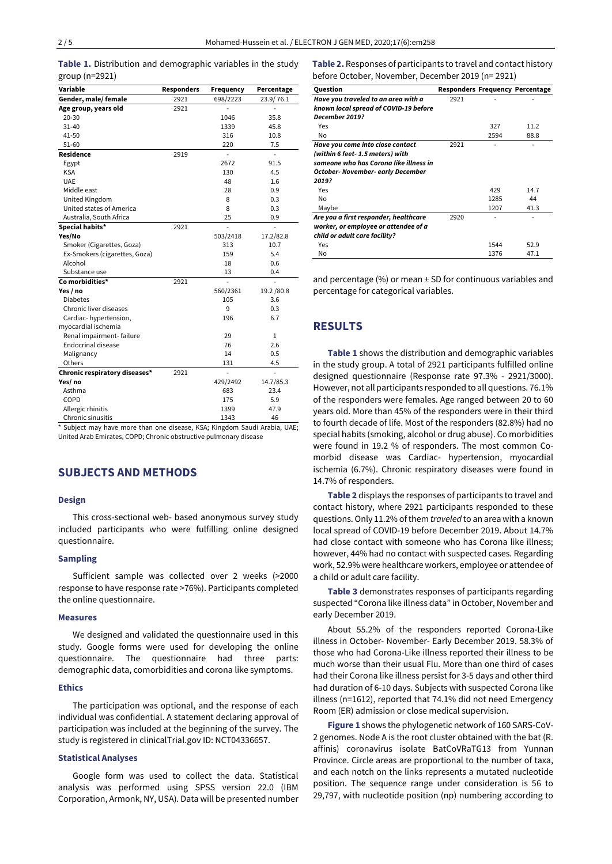|  |                | Table 1. Distribution and demographic variables in the study |  |  |
|--|----------------|--------------------------------------------------------------|--|--|
|  | group (n=2921) |                                                              |  |  |

| Variable                      | <b>Responders</b> | Frequency      | Percentage   |
|-------------------------------|-------------------|----------------|--------------|
| Gender, male/female           | 2921              | 698/2223       | 23.9/76.1    |
| Age group, years old          | 2921              |                |              |
| 20-30                         |                   | 1046           | 35.8         |
| $31 - 40$                     |                   | 1339           | 45.8         |
| 41-50                         |                   | 316            | 10.8         |
| 51-60                         |                   | 220            | 7.5          |
| Residence                     | 2919              | $\overline{a}$ | ÷,           |
| Egypt                         |                   | 2672           | 91.5         |
| <b>KSA</b>                    |                   | 130            | 4.5          |
| <b>UAE</b>                    |                   | 48             | 1.6          |
| Middle east                   |                   | 28             | 0.9          |
| United Kingdom                |                   | 8              | 0.3          |
| United states of America      |                   | 8              | 0.3          |
| Australia, South Africa       |                   | 25             | 0.9          |
| Special habits*               | 2921              |                |              |
| Yes/No                        |                   | 503/2418       | 17.2/82.8    |
| Smoker (Cigarettes, Goza)     |                   | 313            | 10.7         |
| Ex-Smokers (cigarettes, Goza) |                   | 159            | 5.4          |
| Alcohol                       |                   | 18             | 0.6          |
| Substance use                 |                   | 13             | 0.4          |
| Co morbidities*               | 2921              | $\overline{a}$ | L.           |
| Yes / no                      |                   | 560/2361       | 19.2 / 80.8  |
| <b>Diabetes</b>               |                   | 105            | 3.6          |
| Chronic liver diseases        |                   | 9              | 0.3          |
| Cardiac-hypertension,         |                   | 196            | 6.7          |
| myocardial ischemia           |                   |                |              |
| Renal impairment-failure      |                   | 29             | $\mathbf{1}$ |
| <b>Endocrinal disease</b>     |                   | 76             | 2.6          |
| Malignancy                    |                   | 14             | 0.5          |
| Others                        |                   | 131            | 4.5          |
| Chronic respiratory diseases* | 2921              | $\overline{a}$ | ÷.           |
| Yes/ no                       |                   | 429/2492       | 14.7/85.3    |
| Asthma                        |                   | 683            | 23.4         |
| COPD                          |                   | 175            | 5.9          |
| Allergic rhinitis             |                   | 1399           | 47.9         |
| Chronic sinusitis             |                   | 1343           | 46           |

\* Subject may have more than one disease, KSA; Kingdom Saudi Arabia, UAE; United Arab Emirates, COPD; Chronic obstructive pulmonary disease

# **SUBJECTS AND METHODS**

#### **Design**

This cross-sectional web- based anonymous survey study included participants who were fulfilling online designed questionnaire.

## **Sampling**

Sufficient sample was collected over 2 weeks (>2000 response to have response rate >76%). Participants completed the online questionnaire.

#### **Measures**

We designed and validated the questionnaire used in this study. Google forms were used for developing the online questionnaire. The questionnaire had three parts: demographic data, comorbidities and corona like symptoms.

#### **Ethics**

The participation was optional, and the response of each individual was confidential. A statement declaring approval of participation was included at the beginning of the survey. The study is registered in clinicalTrial.gov ID: NCT04336657.

## **Statistical Analyses**

Google form was used to collect the data. Statistical analysis was performed using SPSS version 22.0 (IBM Corporation, Armonk, NY, USA). Data will be presented number **Table 2.** Responses of participants to travel and contact history before October, November, December 2019 (n= 2921)

| Question                               | <b>Responders Frequency Percentage</b> |      |      |
|----------------------------------------|----------------------------------------|------|------|
| Have you traveled to an area with a    | 2921                                   |      |      |
| known local spread of COVID-19 before  |                                        |      |      |
| December 2019?                         |                                        |      |      |
| Yes                                    |                                        | 327  | 11.2 |
| No.                                    |                                        | 2594 | 88.8 |
| Have you come into close contact       | 2921                                   |      |      |
| (within 6 feet- 1.5 meters) with       |                                        |      |      |
| someone who has Corona like illness in |                                        |      |      |
| October- November- early December      |                                        |      |      |
| 2019?                                  |                                        |      |      |
| Yes                                    |                                        | 429  | 14.7 |
| No                                     |                                        | 1285 | 44   |
| Maybe                                  |                                        | 1207 | 41.3 |
| Are you a first responder, healthcare  | 2920                                   |      |      |
| worker, or employee or attendee of a   |                                        |      |      |
| child or adult care facility?          |                                        |      |      |
| Yes                                    |                                        | 1544 | 52.9 |
| No                                     |                                        | 1376 | 47.1 |

and percentage  $(%)$  or mean  $±$  SD for continuous variables and percentage for categorical variables.

## **RESULTS**

**Table 1** shows the distribution and demographic variables in the study group. A total of 2921 participants fulfilled online designed questionnaire (Response rate 97.3% - 2921/3000). However, not all participants responded to all questions. 76.1% of the responders were females. Age ranged between 20 to 60 years old. More than 45% of the responders were in their third to fourth decade of life. Most of the responders (82.8%) had no special habits (smoking, alcohol or drug abuse). Co morbidities were found in 19.2 % of responders. The most common Comorbid disease was Cardiac- hypertension, myocardial ischemia (6.7%). Chronic respiratory diseases were found in 14.7% of responders.

**Table 2** displays the responses of participants to travel and contact history, where 2921 participants responded to these questions. Only 11.2% of them *traveled* to an area with a known local spread of COVID-19 before December 2019. About 14.7% had close contact with someone who has Corona like illness; however, 44% had no contact with suspected cases. Regarding work, 52.9% were healthcare workers, employee or attendee of a child or adult care facility.

**Table 3** demonstrates responses of participants regarding suspected "Corona like illness data" in October, November and early December 2019.

About 55.2% of the responders reported Corona-Like illness in October- November- Early December 2019. 58.3% of those who had Corona-Like illness reported their illness to be much worse than their usual Flu. More than one third of cases had their Corona like illness persist for 3-5 days and other third had duration of 6-10 days. Subjects with suspected Corona like illness (n=1612), reported that 74.1% did not need Emergency Room (ER) admission or close medical supervision.

**Figure 1** shows the phylogenetic network of 160 SARS-CoV-2 genomes. Node A is the root cluster obtained with the bat (R. affinis) coronavirus isolate BatCoVRaTG13 from Yunnan Province. Circle areas are proportional to the number of taxa, and each notch on the links represents a mutated nucleotide position. The sequence range under consideration is 56 to 29,797, with nucleotide position (np) numbering according to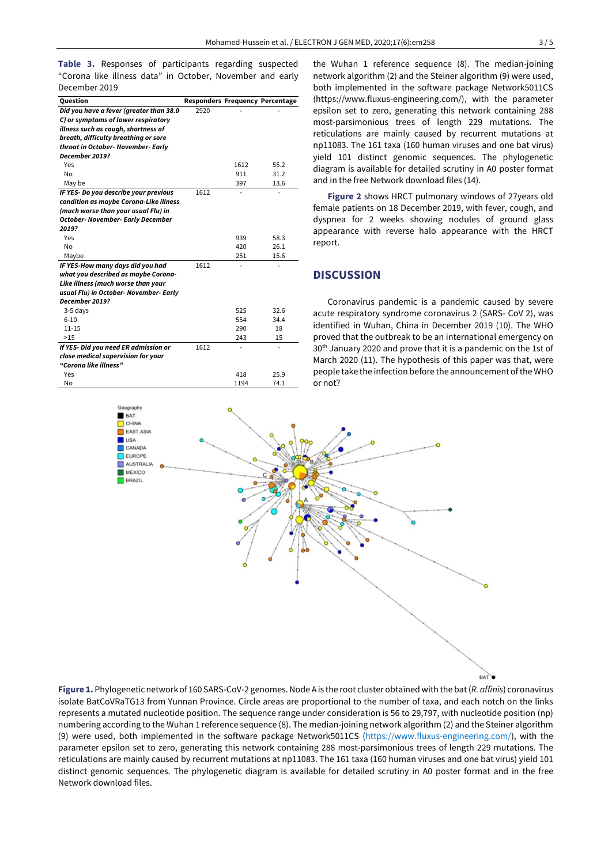**Table 3.** Responses of participants regarding suspected "Corona like illness data" in October, November and early December 2019

| Question                                 |      |      | <b>Responders Frequency Percentage</b> |
|------------------------------------------|------|------|----------------------------------------|
| Did you have a fever (greater than 38.0  | 2920 |      |                                        |
| C) or symptoms of lower respiratory      |      |      |                                        |
| illness such as cough, shortness of      |      |      |                                        |
| breath, difficulty breathing or sore     |      |      |                                        |
| throat in October- November- Early       |      |      |                                        |
| December 2019?                           |      |      |                                        |
| Yes                                      |      | 1612 | 55.2                                   |
| <b>No</b>                                |      | 911  | 31.2                                   |
| May be                                   |      | 397  | 13.6                                   |
| IF YES- Do you describe your previous    | 1612 |      |                                        |
| condition as maybe Corona-Like illness   |      |      |                                        |
| (much worse than your usual Flu) in      |      |      |                                        |
| <b>October- November- Early December</b> |      |      |                                        |
| 2019?                                    |      |      |                                        |
| Yes                                      |      | 939  | 58.3                                   |
| No                                       |      | 420  | 26.1                                   |
| Maybe                                    |      | 251  | 15.6                                   |
| IF YES-How many days did you had         | 1612 |      |                                        |
| what you described as maybe Corona-      |      |      |                                        |
| Like illness (much worse than your       |      |      |                                        |
| usual Flu) in October- November- Early   |      |      |                                        |
| December 2019?                           |      |      |                                        |
| 3-5 days                                 |      | 525  | 32.6                                   |
| $6 - 10$                                 |      | 554  | 34.4                                   |
| $11 - 15$                                |      | 290  | 18                                     |
| >15                                      |      | 243  | 15                                     |
| If YES- Did you need ER admission or     | 1612 |      |                                        |
| close medical supervision for your       |      |      |                                        |
| "Corona like illness"                    |      |      |                                        |
| Yes                                      |      | 418  | 25.9                                   |
| No                                       |      | 1194 | 74.1                                   |

the Wuhan 1 reference sequence (8). The median-joining network algorithm (2) and the Steiner algorithm (9) were used, both implemented in the software package Network5011CS (https://www.fluxus-engineering.com/), with the parameter epsilon set to zero, generating this network containing 288 most-parsimonious trees of length 229 mutations. The reticulations are mainly caused by recurrent mutations at np11083. The 161 taxa (160 human viruses and one bat virus) yield 101 distinct genomic sequences. The phylogenetic diagram is available for detailed scrutiny in A0 poster format and in the free Network download files (14).

**Figure 2** shows HRCT pulmonary windows of 27years old female patients on 18 December 2019, with fever, cough, and dyspnea for 2 weeks showing nodules of ground glass appearance with reverse halo appearance with the HRCT report.

# **DISCUSSION**

Coronavirus pandemic is a pandemic caused by severe acute respiratory syndrome coronavirus 2 (SARS- CoV 2), was identified in Wuhan, China in December 2019 (10). The WHO proved that the outbreak to be an international emergency on 30th January 2020 and prove that it is a pandemic on the 1st of March 2020 (11). The hypothesis of this paper was that, were people take the infection before the announcement ofthe WHO or not?



**Figure 1.** Phylogeneticnetworkof 160 SARS-CoV-2 genomes.Node A is the root cluster obtained with the bat(*R. affinis*) coronavirus isolate BatCoVRaTG13 from Yunnan Province. Circle areas are proportional to the number of taxa, and each notch on the links represents a mutated nucleotide position. The sequence range under consideration is 56 to 29,797, with nucleotide position (np) numbering according to the Wuhan 1 reference sequence (8). The median-joining network algorithm (2) and the Steiner algorithm (9) were used, both implemented in the software package Network5011CS [\(https://www.fluxus-engineering.com/\)](https://www.fluxus-engineering.com/), with the parameter epsilon set to zero, generating this network containing 288 most-parsimonious trees of length 229 mutations. The reticulations are mainly caused by recurrent mutations at np11083. The 161 taxa (160 human viruses and one bat virus) yield 101 distinct genomic sequences. The phylogenetic diagram is available for detailed scrutiny in A0 poster format and in the free Network download files.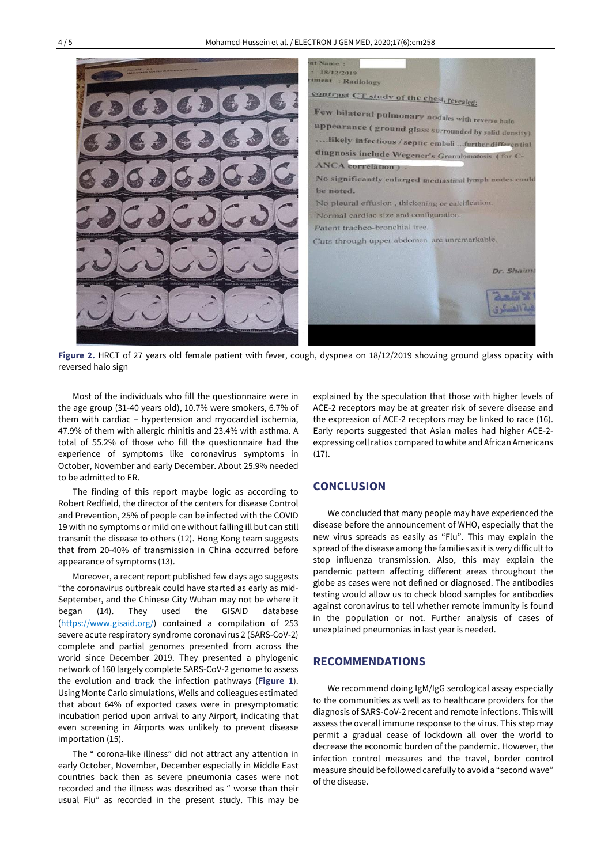

**Figure 2.** HRCT of 27 years old female patient with fever, cough, dyspnea on 18/12/2019 showing ground glass opacity with reversed halo sign

Most of the individuals who fill the questionnaire were in the age group (31-40 years old), 10.7% were smokers, 6.7% of them with cardiac – hypertension and myocardial ischemia, 47.9% of them with allergic rhinitis and 23.4% with asthma. A total of 55.2% of those who fill the questionnaire had the experience of symptoms like coronavirus symptoms in October, November and early December. About 25.9% needed to be admitted to ER.

The finding of this report maybe logic as according to Robert Redfield, the director of the centers for disease Control and Prevention, 25% of people can be infected with the COVID 19 with no symptoms or mild one without falling ill but can still transmit the disease to others (12). Hong Kong team suggests that from 20-40% of transmission in China occurred before appearance of symptoms (13).

Moreover, a recent report published few days ago suggests "the coronavirus outbreak could have started as early as mid-September, and the Chinese City Wuhan may not be where it began (14). They used the GISAID database [\(https://www.gisaid.org/\)](https://www.gisaid.org/) contained a compilation of 253 severe acute respiratory syndrome coronavirus 2 (SARS-CoV-2) complete and partial genomes presented from across the world since December 2019. They presented a phylogenic network of 160 largely complete SARS-CoV-2 genome to assess the evolution and track the infection pathways (**Figure 1**). Using Monte Carlo simulations, Wells and colleagues estimated that about 64% of exported cases were in presymptomatic incubation period upon arrival to any Airport, indicating that even screening in Airports was unlikely to prevent disease importation (15).

The " corona-like illness" did not attract any attention in early October, November, December especially in Middle East countries back then as severe pneumonia cases were not recorded and the illness was described as " worse than their usual Flu" as recorded in the present study. This may be explained by the speculation that those with higher levels of ACE-2 receptors may be at greater risk of severe disease and the expression of ACE-2 receptors may be linked to race (16). Early reports suggested that Asian males had higher ACE-2 expressing cell ratios compared to white and African Americans  $(17).$ 

# **CONCLUSION**

We concluded that many people may have experienced the disease before the announcement of WHO, especially that the new virus spreads as easily as "Flu". This may explain the spread of the disease among the families as it is very difficult to stop influenza transmission. Also, this may explain the pandemic pattern affecting different areas throughout the globe as cases were not defined or diagnosed. The antibodies testing would allow us to check blood samples for antibodies against coronavirus to tell whether remote immunity is found in the population or not. Further analysis of cases of unexplained pneumonias in last year is needed.

## **RECOMMENDATIONS**

We recommend doing IgM/IgG serological assay especially to the communities as well as to healthcare providers for the diagnosis of SARS-CoV-2 recent and remote infections. This will assess the overall immune response to the virus. This step may permit a gradual cease of lockdown all over the world to decrease the economic burden of the pandemic. However, the infection control measures and the travel, border control measure should be followed carefully to avoid a "second wave" of the disease.